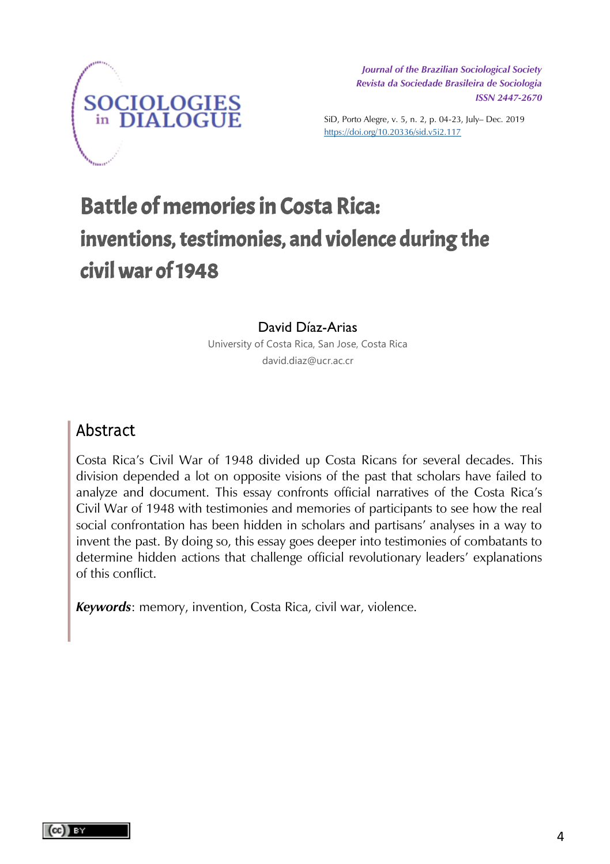

*Journal of the Brazilian Sociological Society Journal of the Brazilian Sociological Society Revista da Sociedade Brasileira de Sociologia Revista da Sociedade Brasileira de Sociologia ISSN 2447-2670 ISSN 2447-2670*

SiD, Porto Alegre, v. 5, n. 2, p. 04-23, July– Dec. 2019 https://doi.org/10.20336/sid.v5i2.117

# Battle of memories in Costa Rica: inventions, testimonies, and violence during the civil war of 1948

#### David Díaz-Arias

University of Costa Rica, San Jose, Costa Rica david.diaz@ucr.ac.cr

# Abstract

Costa Rica's Civil War of 1948 divided up Costa Ricans for several decades. This division depended a lot on opposite visions of the past that scholars have failed to analyze and document. This essay confronts official narratives of the Costa Rica's Civil War of 1948 with testimonies and memories of participants to see how the real social confrontation has been hidden in scholars and partisans' analyses in a way to invent the past. By doing so, this essay goes deeper into testimonies of combatants to determine hidden actions that challenge official revolutionary leaders' explanations of this conflict.

*Keywords*: memory, invention, Costa Rica, civil war, violence.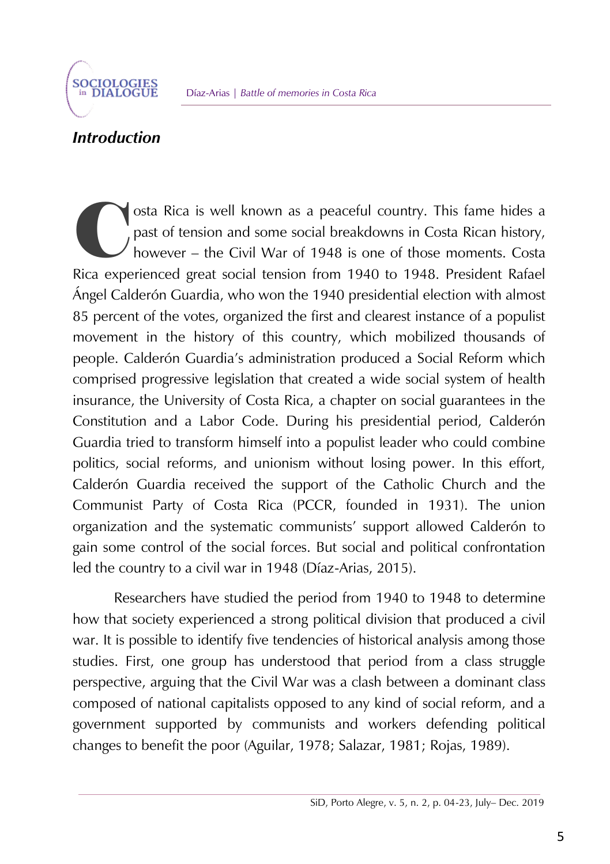

# *Introduction*

C Pice and osta Rica is well known as a peaceful country. This fame hides a past of tension and some social breakdowns in Costa Rican history, however – the Civil War of 1948 is one of those moments. Costa Rica experienced great social tension from 1940 to 1948. President Rafael Ángel Calderón Guardia, who won the 1940 presidential election with almost 85 percent of the votes, organized the first and clearest instance of a populist movement in the history of this country, which mobilized thousands of people. Calderón Guardia's administration produced a Social Reform which comprised progressive legislation that created a wide social system of health insurance, the University of Costa Rica, a chapter on social guarantees in the Constitution and a Labor Code. During his presidential period, Calderón Guardia tried to transform himself into a populist leader who could combine politics, social reforms, and unionism without losing power. In this effort, Calderón Guardia received the support of the Catholic Church and the Communist Party of Costa Rica (PCCR, founded in 1931). The union organization and the systematic communists' support allowed Calderón to gain some control of the social forces. But social and political confrontation led the country to a civil war in 1948 (Díaz-Arias, 2015).

Researchers have studied the period from 1940 to 1948 to determine how that society experienced a strong political division that produced a civil war. It is possible to identify five tendencies of historical analysis among those studies. First, one group has understood that period from a class struggle perspective, arguing that the Civil War was a clash between a dominant class composed of national capitalists opposed to any kind of social reform, and a government supported by communists and workers defending political changes to benefit the poor (Aguilar, 1978; Salazar, 1981; Rojas, 1989).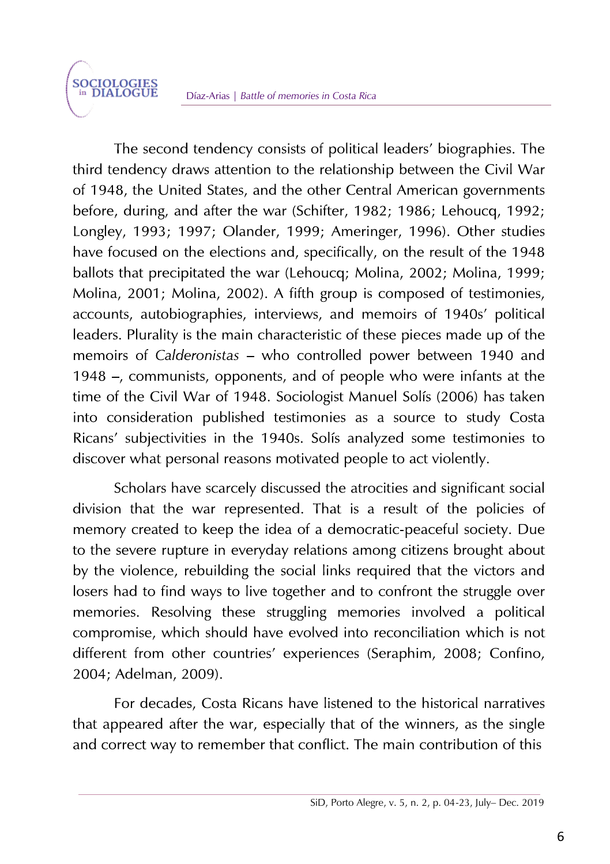The second tendency consists of political leaders' biographies. The third tendency draws attention to the relationship between the Civil War of 1948, the United States, and the other Central American governments before, during, and after the war (Schifter, 1982; 1986; Lehoucg, 1992; Longley, 1993; 1997; Olander, 1999; Ameringer, 1996). Other studies have focused on the elections and, specifically, on the result of the 1948 ballots that precipitated the war (Lehoucq; Molina, 2002; Molina, 1999; Molina, 2001; Molina, 2002). A fifth group is composed of testimonies, accounts, autobiographies, interviews, and memoirs of 1940s' political leaders. Plurality is the main characteristic of these pieces made up of the memoirs of Calderonistas – who controlled power between 1940 and 1948 -, communists, opponents, and of people who were infants at the time of the Civil War of 1948. Sociologist Manuel Solís (2006) has taken into consideration published testimonies as a source to study Costa Ricans' subjectivities in the 1940s. Solís analyzed some testimonies to discover what personal reasons motivated people to act violently.

Scholars have scarcely discussed the atrocities and significant social division that the war represented. That is a result of the policies of memory created to keep the idea of a democratic-peaceful society. Due to the severe rupture in everyday relations among citizens brought about by the violence, rebuilding the social links required that the victors and losers had to find ways to live together and to confront the struggle over memories. Resolving these struggling memories involved a political compromise, which should have evolved into reconciliation which is not different from other countries' experiences (Seraphim, 2008; Confino, 2004; Adelman, 2009).

For decades. Costa Ricans have listened to the historical narratives that appeared after the war, especially that of the winners, as the single and correct way to remember that conflict. The main contribution of this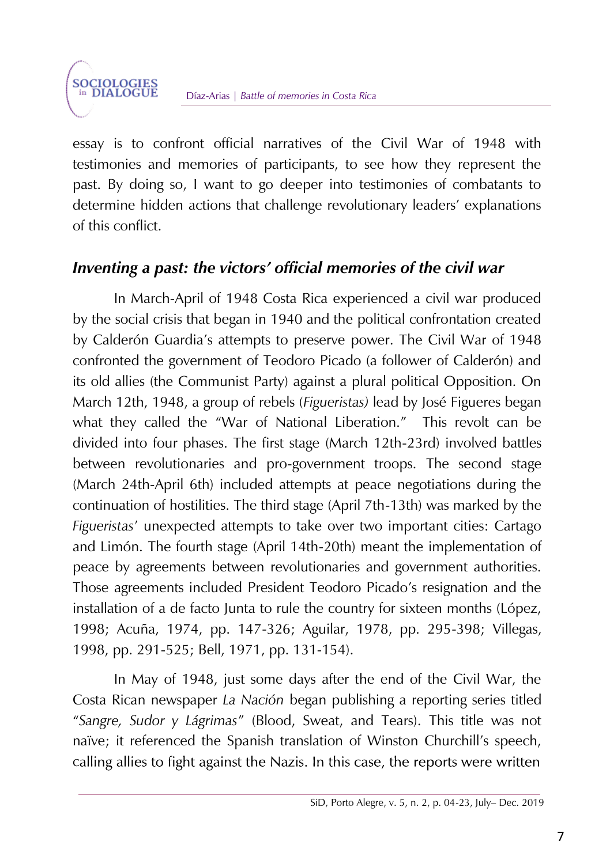essay is to confront official narratives of the Civil War of 1948 with testimonies and memories of participants, to see how they represent the past. By doing so, I want to go deeper into testimonies of combatants to determine hidden actions that challenge revolutionary leaders' explanations of this conflict.

# *Inventing a past: the victors' official memories of the civil war*

In March-April of 1948 Costa Rica experienced a civil war produced by the social crisis that began in 1940 and the political confrontation created by Calderón Guardia's attempts to preserve power. The Civil War of 1948 confronted the government of Teodoro Picado (a follower of Calderón) and its old allies (the Communist Party) against a plural political Opposition. On March 12th, 1948, a group of rebels (*Figueristas)* lead by José Figueres began what they called the "War of National Liberation." This revolt can be divided into four phases. The first stage (March 12th-23rd) involved battles between revolutionaries and pro-government troops. The second stage (March 24th-April 6th) included attempts at peace negotiations during the continuation of hostilities. The third stage (April 7th-13th) was marked by the *Figueristas*' unexpected attempts to take over two important cities: Cartago and Limón. The fourth stage (April 14th-20th) meant the implementation of peace by agreements between revolutionaries and government authorities. Those agreements included President Teodoro Picado's resignation and the installation of a de facto Junta to rule the country for sixteen months (López, 1998; Acuña, 1974, pp. 147-326; Aguilar, 1978, pp. 295-398; Villegas, 1998, pp. 291-525; Bell, 1971, pp. 131-154).

In May of 1948, just some days after the end of the Civil War, the Costa Rican newspaper *La Nación* began publishing a reporting series titled "*Sangre, Sudor y Lágrimas*" (Blood, Sweat, and Tears). This title was not naïve; it referenced the Spanish translation of Winston Churchill's speech, calling allies to fight against the Nazis. In this case, the reports were written

SiD, Porto Alegre, v. 5, n. 2, p. 04-23, July– Dec. 2019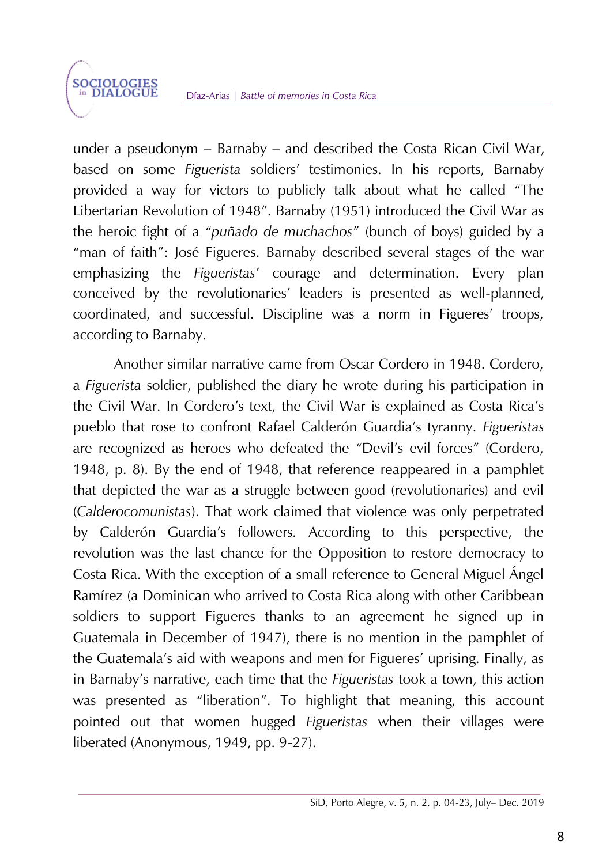under a pseudonym – Barnaby – and described the Costa Rican Civil War, based on some *Figuerista* soldiers' testimonies. In his reports, Barnaby provided a way for victors to publicly talk about what he called "The Libertarian Revolution of 1948". Barnaby (1951) introduced the Civil War as the heroic fight of a "*puñado de muchachos*" (bunch of boys) guided by a "man of faith": José Figueres. Barnaby described several stages of the war emphasizing the *Figueristas*' courage and determination. Every plan conceived by the revolutionaries' leaders is presented as well-planned, coordinated, and successful. Discipline was a norm in Figueres' troops, according to Barnaby.

Another similar narrative came from Oscar Cordero in 1948. Cordero, a *Figuerista* soldier, published the diary he wrote during his participation in the Civil War. In Cordero's text, the Civil War is explained as Costa Rica's pueblo that rose to confront Rafael Calderón Guardia's tyranny. *Figueristas* are recognized as heroes who defeated the "Devil's evil forces" (Cordero, 1948, p. 8). By the end of 1948, that reference reappeared in a pamphlet that depicted the war as a struggle between good (revolutionaries) and evil (*Calderocomunistas*). That work claimed that violence was only perpetrated by Calderón Guardia's followers. According to this perspective, the revolution was the last chance for the Opposition to restore democracy to Costa Rica. With the exception of a small reference to General Miguel Ángel Ramírez (a Dominican who arrived to Costa Rica along with other Caribbean soldiers to support Figueres thanks to an agreement he signed up in Guatemala in December of 1947), there is no mention in the pamphlet of the Guatemala's aid with weapons and men for Figueres' uprising. Finally, as in Barnaby's narrative, each time that the *Figueristas* took a town, this action was presented as "liberation". To highlight that meaning, this account pointed out that women hugged *Figueristas* when their villages were liberated (Anonymous, 1949, pp. 9-27).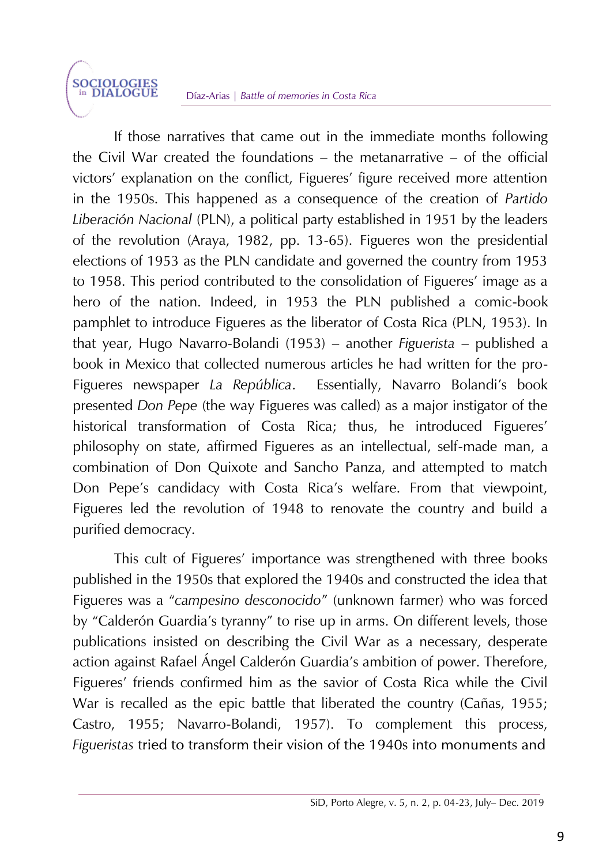#### Díaz-Arias | *Battle of memories in Costa Rica*

**SOCIOLOGIES**<br>in DIALOGUE

If those narratives that came out in the immediate months following the Civil War created the foundations – the metanarrative – of the official victors' explanation on the conflict, Figueres' figure received more attention in the 1950s. This happened as a consequence of the creation of *Partido Liberación Nacional* (PLN), a political party established in 1951 by the leaders of the revolution (Araya, 1982, pp. 13-65). Figueres won the presidential elections of 1953 as the PLN candidate and governed the country from 1953 to 1958. This period contributed to the consolidation of Figueres' image as a hero of the nation. Indeed, in 1953 the PLN published a comic-book pamphlet to introduce Figueres as the liberator of Costa Rica (PLN, 1953). In that year, Hugo Navarro-Bolandi (1953) – another *Figuerista* – published a book in Mexico that collected numerous articles he had written for the pro-Figueres newspaper *La República*. Essentially, Navarro Bolandi's book presented *Don Pepe* (the way Figueres was called) as a major instigator of the historical transformation of Costa Rica; thus, he introduced Figueres' philosophy on state, affirmed Figueres as an intellectual, self-made man, a combination of Don Quixote and Sancho Panza, and attempted to match Don Pepe's candidacy with Costa Rica's welfare. From that viewpoint, Figueres led the revolution of 1948 to renovate the country and build a purified democracy.

This cult of Figueres' importance was strengthened with three books published in the 1950s that explored the 1940s and constructed the idea that Figueres was a "*campesino desconocido*" (unknown farmer) who was forced by "Calderón Guardia's tyranny" to rise up in arms. On different levels, those publications insisted on describing the Civil War as a necessary, desperate action against Rafael Ángel Calderón Guardia's ambition of power. Therefore, Figueres' friends confirmed him as the savior of Costa Rica while the Civil War is recalled as the epic battle that liberated the country (Cañas, 1955; Castro, 1955; Navarro-Bolandi, 1957). To complement this process, *Figueristas* t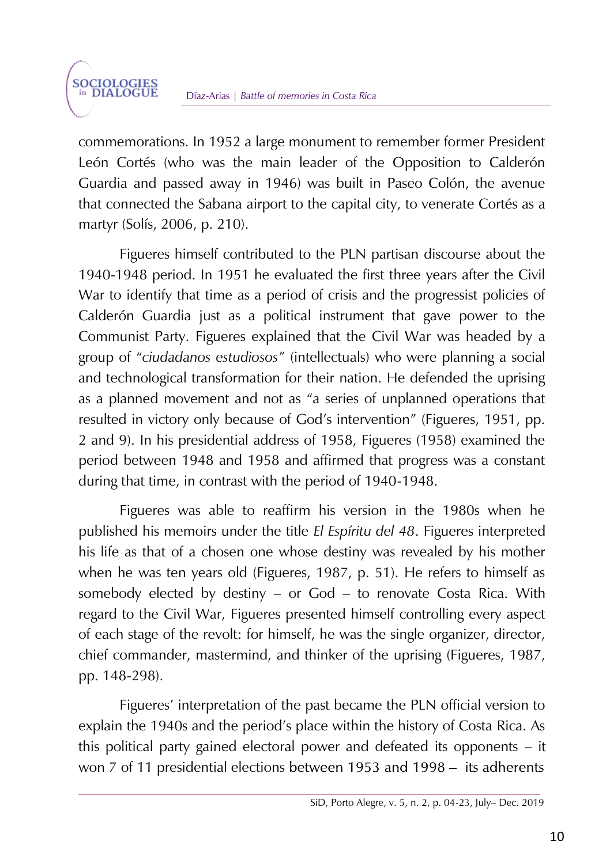commemorations. In 1952 a large monument to remember former President León Cortés (who was the main leader of the Opposition to Calderón Guardia and passed away in 1946) was built in Paseo Colón, the avenue that connected the Sabana airport to the capital city, to venerate Cortés as a martyr (Solís, 2006, p. 210).

Figueres himself contributed to the PLN partisan discourse about the 1940-1948 period. In 1951 he evaluated the first three years after the Civil War to identify that time as a period of crisis and the progressist policies of Calderón Guardia just as a political instrument that gave power to the Communist Party. Figueres explained that the Civil War was headed by a group of "*ciudadanos estudiosos*" (intellectuals) who were planning a social and technological transformation for their nation. He defended the uprising as a planned movement and not as "a series of unplanned operations that resulted in victory only because of God's intervention" (Figueres, 1951, pp. 2 and 9). In his presidential address of 1958, Figueres (1958) examined the period between 1948 and 1958 and affirmed that progress was a constant during that time, in contrast with the period of 1940-1948.

Figueres was able to reaffirm his version in the 1980s when he published his memoirs under the title *El Espíritu del 48*. Figueres interpreted his life as that of a chosen one whose destiny was revealed by his mother when he was ten years old (Figueres, 1987, p. 51). He refers to himself as somebody elected by destiny – or God – to renovate Costa Rica. With regard to the Civil War, Figueres presented himself controlling every aspect of each stage of the revolt: for himself, he was the single organizer, director, chief commander, mastermind, and thinker of the uprising (Figueres, 1987, pp. 148-298).

Figueres' interpretation of the past became the PLN official version to explain the 1940s and the period's place within the history of Costa Rica. As this political party gained electoral power and defeated its opponents – it won 7 of 11 presidential elections between 1953 and 1998 – its adherents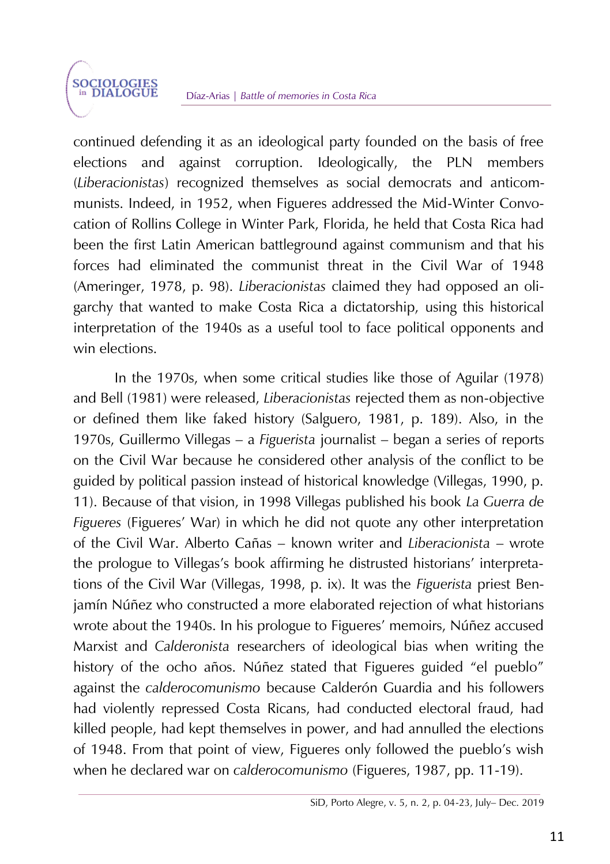continued defending it as an ideological party founded on the basis of free elections and against corruption. Ideologically, the PLN members (*Liberacionistas*) recognized themselves as social democrats and anticommunists. Indeed, in 1952, when Figueres addressed the Mid-Winter Convocation of Rollins College in Winter Park, Florida, he held that Costa Rica had been the first Latin American battleground against communism and that his forces had eliminated the communist threat in the Civil War of 1948 (Ameringer, 1978, p. 98). *Liberacionistas* claimed they had opposed an oligarchy that wanted to make Costa Rica a dictatorship, using this historical interpretation of the 1940s as a useful tool to face political opponents and win elections.

In the 1970s, when some critical studies like those of Aguilar (1978) and Bell (1981) were released, *Liberacionistas* rejected them as non-objective or defined them like faked history (Salguero, 1981, p. 189). Also, in the 1970s, Guillermo Villegas – a *Figuerista* journalist – began a series of reports on the Civil War because he considered other analysis of the conflict to be guided by political passion instead of historical knowledge (Villegas, 1990, p. 11). Because of that vision, in 1998 Villegas published his book *La Guerra de Figueres* (Figueres' War) in which he did not quote any other interpretation of the Civil War. Alberto Cañas – known writer and *Liberacionista* – wrote the prologue to Villegas's book affirming he distrusted historians' interpretations of the Civil War (Villegas, 1998, p. ix). It was the *Figuerista* priest Benjamín Núñez who constructed a more elaborated rejection of what historians wrote about the 1940s. In his prologue to Figueres' memoirs, Núñez accused Marxist and *Calderonista* researchers of ideological bias when writing the history of the ocho años. Núñez stated that Figueres guided "el pueblo" against the *calderocomunismo* because Calderón Guardia and his followers had violently repressed Costa Ricans, had conducted electoral fraud, had killed people, had kept themselves in power, and had annulled the elections of 1948. From that point of view, Figueres only followed the pueblo's wish when he declared war on *calderocomunismo* (Figueres, 1987, pp. 11-19).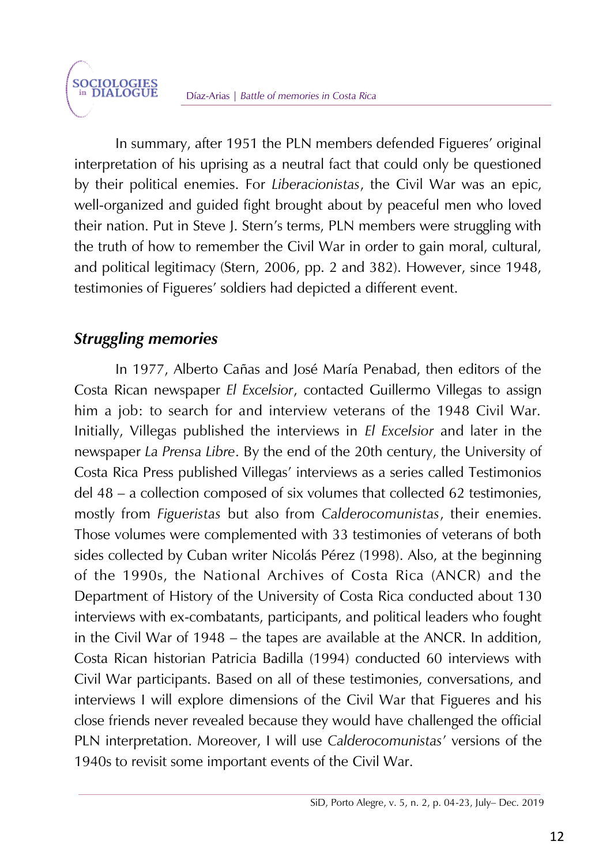In summary, after 1951 the PLN members defended Figueres' original interpretation of his uprising as a neutral fact that could only be questioned by their political enemies. For *Liberacionistas*, the Civil War was an epic, well-organized and guided fight brought about by peaceful men who loved their nation. Put in Steve J. Stern's terms, PLN members were struggling with the truth of how to remember the Civil War in order to gain moral, cultural, and political legitimacy (Stern, 2006, pp. 2 and 382). However, since 1948, testimonies of Figueres' soldiers had depicted a different event.

# *Struggling memories*

**SOCIOLOGIES**<br>in DIALOGUE

In 1977, Alberto Cañas and José María Penabad, then editors of the Costa Rican newspaper *El Excelsior*, contacted Guillermo Villegas to assign him a job: to search for and interview veterans of the 1948 Civil War. Initially, Villegas published the interviews in *El Excelsior* and later in the newspaper *La Prensa Libre*. By the end of the 20th century, the University of Costa Rica Press published Villegas' interviews as a series called Testimonios del 48 – a collection composed of six volumes that collected 62 testimonies, mostly from *Figueristas* but also from *Calderocomunistas*, their enemies. Those volumes were complemented with 33 testimonies of veterans of both sides collected by Cuban writer Nicolás Pérez (1998). Also, at the beginning of the 1990s, the National Archives of Costa Rica (ANCR) and the Department of History of the University of Costa Rica conducted about 130 interviews with ex-combatants, participants, and political leaders who fought in the Civil War of 1948 – the tapes are available at the ANCR. In addition, Costa Rican historian Patricia Badilla (1994) conducted 60 interviews with Civil War participants. Based on all of these testimonies, conversations, and interviews I will explore dimensions of the Civil War that Figueres and his close friends never revealed because they would have challenged the official PLN interpretation. Moreover, I will use *Calderocomunistas*' versions of the 1940s to revisit some important events of the Civil War.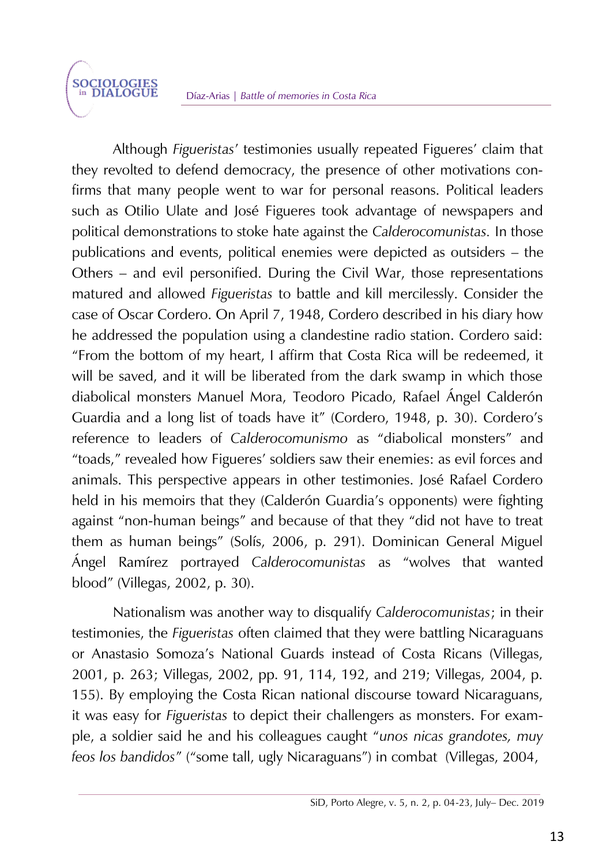Although *Figueristas*' testimonies usually repeated Figueres' claim that they revolted to defend democracy, the presence of other motivations confirms that many people went to war for personal reasons. Political leaders such as Otilio Ulate and José Figueres took advantage of newspapers and political demonstrations to stoke hate against the *Calderocomunistas.* In those publications and events, political enemies were depicted as outsiders – the Others – and evil personified. During the Civil War, those representations matured and allowed *Figueristas* to battle and kill mercilessly. Consider the case of Oscar Cordero. On April 7, 1948, Cordero described in his diary how he addressed the population using a clandestine radio station. Cordero said: "From the bottom of my heart, I affirm that Costa Rica will be redeemed, it will be saved, and it will be liberated from the dark swamp in which those diabolical monsters Manuel Mora, Teodoro Picado, Rafael Ángel Calderón Guardia and a long list of toads have it" (Cordero, 1948, p. 30). Cordero's reference to leaders of *Calderocomunismo* as "diabolical monsters" and "toads," revealed how Figueres' soldiers saw their enemies: as evil forces and animals. This perspective appears in other testimonies. José Rafael Cordero held in his memoirs that they (Calderón Guardia's opponents) were fighting against "non-human beings" and because of that they "did not have to treat them as human beings" (Solís, 2006, p. 291). Dominican General Miguel Ángel Ramírez portrayed *Calderocomunistas* as "wolves that wanted blood" (Villegas, 2002, p. 30).

Nationalism was another way to disqualify *Calderocomunistas*; in their testimonies, the *Figueristas* often claimed that they were battling Nicaraguans or Anastasio Somoza's National Guards instead of Costa Ricans (Villegas, 2001, p. 263; Villegas, 2002, pp. 91, 114, 192, and 219; Villegas, 2004, p. 155). By employing the Costa Rican national discourse toward Nicaraguans, it was easy for *Figueristas* to depict their challengers as monsters. For example, a soldier said he and his colleagues caught "*unos nicas grandotes, muy feos los bandidos*" ("some tall, ugly Nicaraguans") in combat (Villegas, 2004,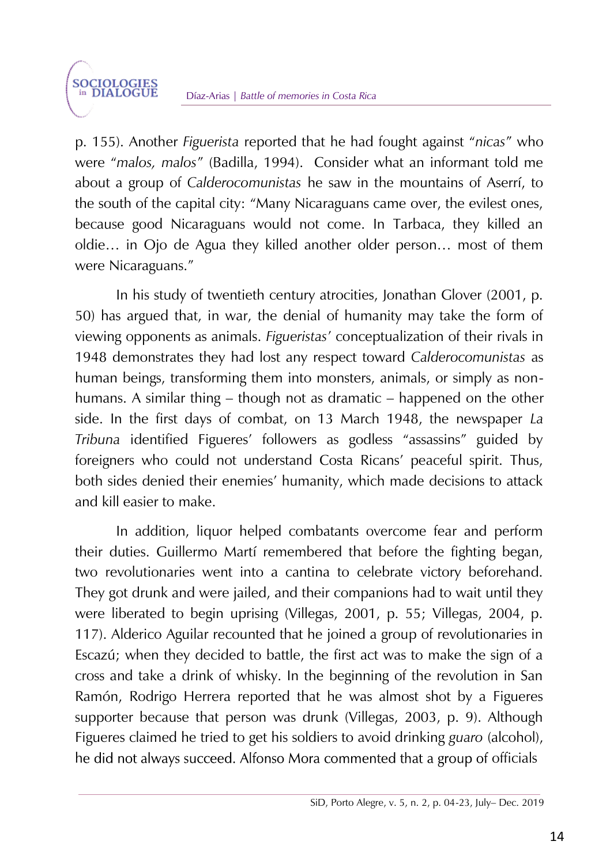p. 155). Another *Figuerista* reported that he had fought against "*nicas*" who were "*malos, malos*" (Badilla, 1994). Consider what an informant told me about a group of *Calderocomunistas* he saw in the mountains of Aserrí, to the south of the capital city: "Many Nicaraguans came over, the evilest ones, because good Nicaraguans would not come. In Tarbaca, they killed an oldie… in Ojo de Agua they killed another older person… most of them were Nicaraguans."

In his study of twentieth century atrocities, Jonathan Glover (2001, p. 50) has argued that, in war, the denial of humanity may take the form of viewing opponents as animals. *Figueristas*' conceptualization of their rivals in 1948 demonstrates they had lost any respect toward *Calderocomunistas* as human beings, transforming them into monsters, animals, or simply as nonhumans. A similar thing – though not as dramatic – happened on the other side. In the first days of combat, on 13 March 1948, the newspaper *La Tribuna* identified Figueres' followers as godless "assassins" guided by foreigners who could not understand Costa Ricans' peaceful spirit. Thus, both sides denied their enemies' humanity, which made decisions to attack and kill easier to make.

In addition, liquor helped combatants overcome fear and perform their duties. Guillermo Martí remembered that before the fighting began, two revolutionaries went into a cantina to celebrate victory beforehand. They got drunk and were jailed, and their companions had to wait until they were liberated to begin uprising (Villegas, 2001, p. 55; Villegas, 2004, p. 117). Alderico Aguilar recounted that he joined a group of revolutionaries in Escazú; when they decided to battle, the first act was to make the sign of a cross and take a drink of whisky. In the beginning of the revolution in San Ramón, Rodrigo Herrera reported that he was almost shot by a Figueres supporter because that person was drunk (Villegas, 2003, p. 9). Although Figueres claimed he tried to get his soldiers to avoid drinking *guaro* (alcohol), he did not always succeed. Alfonso Mora commented that a group of officials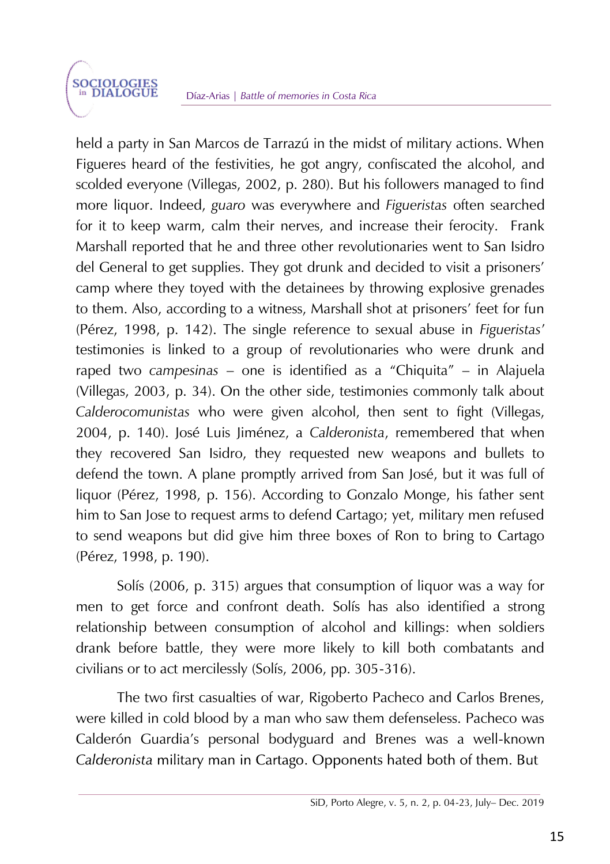held a party in San Marcos de Tarrazú in the midst of military actions. When Figueres heard of the festivities, he got angry, confiscated the alcohol, and scolded everyone (Villegas, 2002, p. 280). But his followers managed to find more liquor. Indeed, *guaro* was everywhere and *Figueristas* often searched for it to keep warm, calm their nerves, and increase their ferocity. Frank Marshall reported that he and three other revolutionaries went to San Isidro del General to get supplies. They got drunk and decided to visit a prisoners' camp where they toyed with the detainees by throwing explosive grenades to them. Also, according to a witness, Marshall shot at prisoners' feet for fun (Pérez, 1998, p. 142). The single reference to sexual abuse in *Figueristas*' testimonies is linked to a group of revolutionaries who were drunk and raped two *campesinas* – one is identified as a "Chiquita" – in Alajuela (Villegas, 2003, p. 34). On the other side, testimonies commonly talk about *Calderocomunistas* who were given alcohol, then sent to fight (Villegas, 2004, p. 140). José Luis Jiménez, a *Calderonista*, remembered that when they recovered San Isidro, they requested new weapons and bullets to defend the town. A plane promptly arrived from San José, but it was full of liquor (Pérez, 1998, p. 156). According to Gonzalo Monge, his father sent him to San Jose to request arms to defend Cartago; yet, military men refused to send weapons but did give him three boxes of Ron to bring to Cartago (Pérez, 1998, p. 190).

Solís (2006, p. 315) argues that consumption of liquor was a way for men to get force and confront death. Solís has also identified a strong relationship between consumption of alcohol and killings: when soldiers drank before battle, they were more likely to kill both combatants and civilians or to act mercilessly (Solís, 2006, pp. 305-316).

The two first casualties of war, Rigoberto Pacheco and Carlos Brenes, were killed in cold blood by a man who saw them defenseless. Pacheco was Calderón Guardia's personal bodyguard and Brenes was a well-known Calderonista military man in Cartago. Opponents hated both of them. But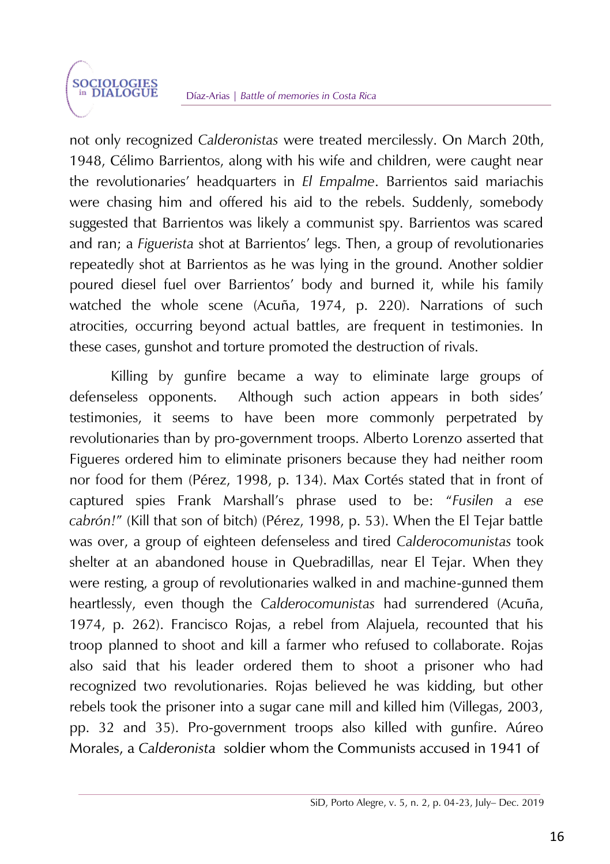not only recognized *Calderonistas* were treated mercilessly. On March 20th, 1948, Célimo Barrientos, along with his wife and children, were caught near the revolutionaries' headquarters in *El Empalme*. Barrientos said mariachis were chasing him and offered his aid to the rebels. Suddenly, somebody suggested that Barrientos was likely a communist spy. Barrientos was scared and ran; a *Figuerista* shot at Barrientos' legs. Then, a group of revolutionaries repeatedly shot at Barrientos as he was lying in the ground. Another soldier poured diesel fuel over Barrientos' body and burned it, while his family watched the whole scene (Acuña, 1974, p. 220). Narrations of such atrocities, occurring beyond actual battles, are frequent in testimonies. In these cases, gunshot and torture promoted the destruction of rivals.

Killing by gunfire became a way to eliminate large groups of defenseless opponents. Although such action appears in both sides' testimonies, it seems to have been more commonly perpetrated by revolutionaries than by pro-government troops. Alberto Lorenzo asserted that Figueres ordered him to eliminate prisoners because they had neither room nor food for them (Pérez, 1998, p. 134). Max Cortés stated that in front of captured spies Frank Marshall's phrase used to be: "*Fusilen a ese cabrón!*" (Kill that son of bitch) (Pérez, 1998, p. 53). When the El Tejar battle was over, a group of eighteen defenseless and tired *Calderocomunistas* took shelter at an abandoned house in Quebradillas, near El Tejar. When they were resting, a group of revolutionaries walked in and machine-gunned them heartlessly, even though the *Calderocomunistas* had surrendered (Acuña, 1974, p. 262). Francisco Rojas, a rebel from Alajuela, recounted that his troop planned to shoot and kill a farmer who refused to collaborate. Rojas also said that his leader ordered them to shoot a prisoner who had recognized two revolutionaries. Rojas believed he was kidding, but other rebels took the prisoner into a sugar cane mill and killed him (Villegas, 2003, pp. 32 and 35). Pro-government troops also killed with gunfire. Aúreo Morales, a Calderonista soldier whom the Communists accused in 1941 of

SiD, Porto Alegre, v. 5, n. 2, p. 04-23, July– Dec. 2019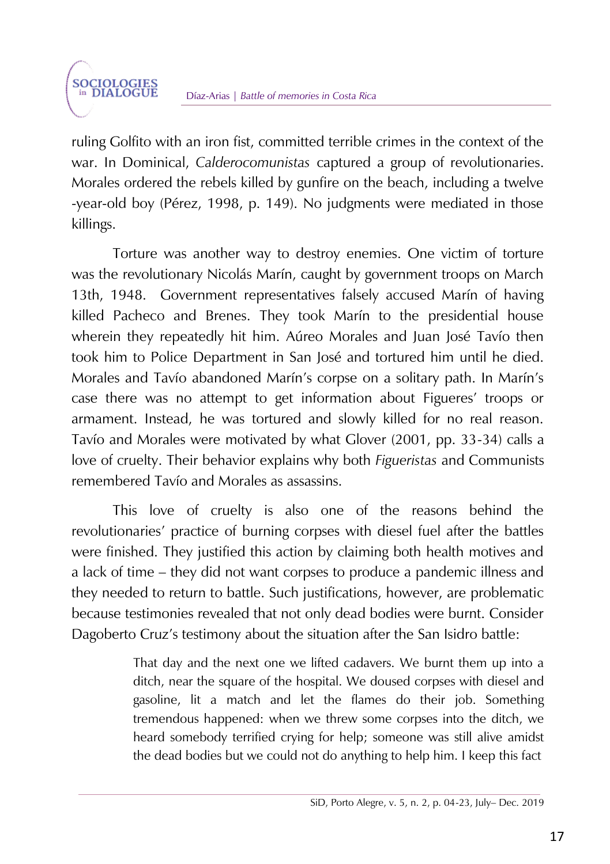ruling Golfito with an iron fist, committed terrible crimes in the context of the war. In Dominical, *Calderocomunistas* captured a group of revolutionaries. Morales ordered the rebels killed by gunfire on the beach, including a twelve -year-old boy (Pérez, 1998, p. 149). No judgments were mediated in those killings.

Torture was another way to destroy enemies. One victim of torture was the revolutionary Nicolás Marín, caught by government troops on March 13th, 1948. Government representatives falsely accused Marín of having killed Pacheco and Brenes. They took Marín to the presidential house wherein they repeatedly hit him. Aúreo Morales and Juan José Tavío then took him to Police Department in San José and tortured him until he died. Morales and Tavío abandoned Marín's corpse on a solitary path. In Marín's case there was no attempt to get information about Figueres' troops or armament. Instead, he was tortured and slowly killed for no real reason. Tavío and Morales were motivated by what Glover (2001, pp. 33-34) calls a love of cruelty. Their behavior explains why both *Figueristas* and Communists remembered Tavío and Morales as assassins.

This love of cruelty is also one of the reasons behind the revolutionaries' practice of burning corpses with diesel fuel after the battles were finished. They justified this action by claiming both health motives and a lack of time – they did not want corpses to produce a pandemic illness and they needed to return to battle. Such justifications, however, are problematic because testimonies revealed that not only dead bodies were burnt. Consider Dagoberto Cruz's testimony about the situation after the San Isidro battle:

> That day and the next one we lifted cadavers. We burnt them up into a ditch, near the square of the hospital. We doused corpses with diesel and gasoline, lit a match and let the flames do their job. Something tremendous happened: when we threw some corpses into the ditch, we heard somebody terrified crying for help; someone was still alive amidst the dead bodies but we could not do anything to help him. I keep this fact

SiD, Porto Alegre, v. 5, n. 2, p. 04-23, July– Dec. 2019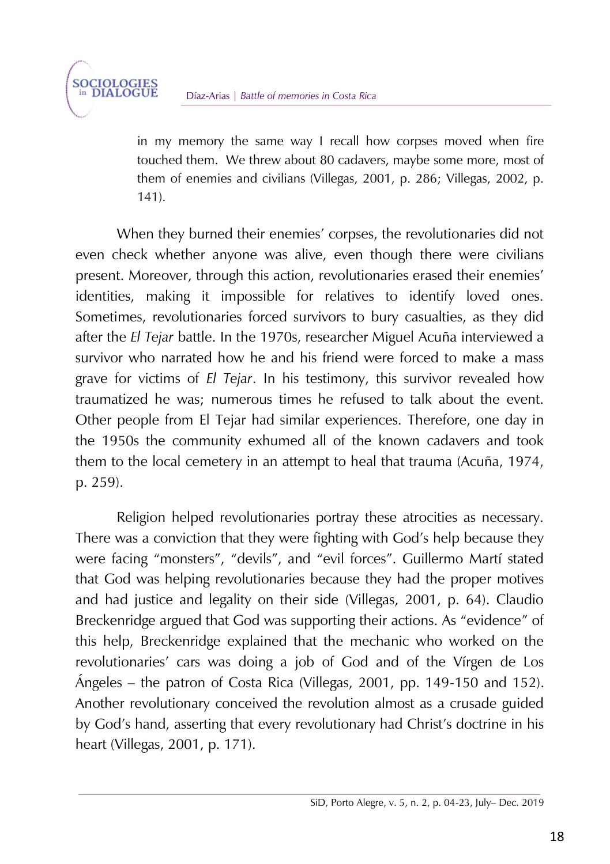in my memory the same way I recall how corpses moved when fire touched them. We threw about 80 cadavers, maybe some more, most of them of enemies and civilians (Villegas, 2001, p. 286; Villegas, 2002, p. 141).

When they burned their enemies' corpses, the revolutionaries did not even check whether anyone was alive, even though there were civilians present. Moreover, through this action, revolutionaries erased their enemies' identities, making it impossible for relatives to identify loved ones. Sometimes, revolutionaries forced survivors to bury casualties, as they did after the *El Tejar* battle. In the 1970s, researcher Miguel Acuña interviewed a survivor who narrated how he and his friend were forced to make a mass grave for victims of *El Tejar*. In his testimony, this survivor revealed how traumatized he was; numerous times he refused to talk about the event. Other people from El Tejar had similar experiences. Therefore, one day in the 1950s the community exhumed all of the known cadavers and took them to the local cemetery in an attempt to heal that trauma (Acuña, 1974, p. 259).

Religion helped revolutionaries portray these atrocities as necessary. There was a conviction that they were fighting with God's help because they were facing "monsters", "devils", and "evil forces". Guillermo Martí stated that God was helping revolutionaries because they had the proper motives and had justice and legality on their side (Villegas, 2001, p. 64). Claudio Breckenridge argued that God was supporting their actions. As "evidence" of this help, Breckenridge explained that the mechanic who worked on the revolutionaries' cars was doing a job of God and of the Vírgen de Los Ángeles – the patron of Costa Rica (Villegas, 2001, pp. 149-150 and 152). Another revolutionary conceived the revolution almost as a crusade guided by God's hand, asserting that every revolutionary had Christ's doctrine in his heart (Villegas, 2001, p. 171).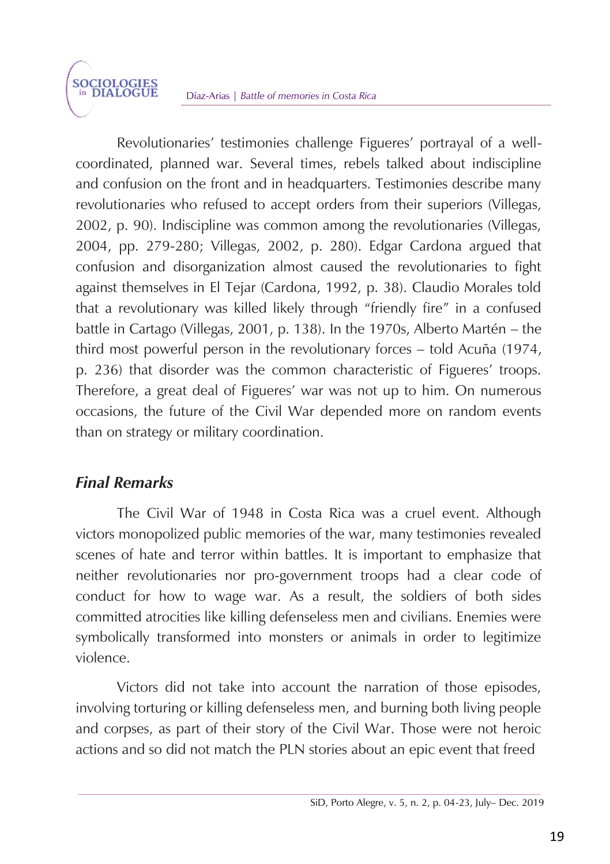Revolutionaries' testimonies challenge Figueres' portrayal of a wellcoordinated, planned war. Several times, rebels talked about indiscipline and confusion on the front and in headquarters. Testimonies describe many revolutionaries who refused to accept orders from their superiors (Villegas, 2002, p. 90). Indiscipline was common among the revolutionaries (Villegas, 2004, pp. 279-280; Villegas, 2002, p. 280). Edgar Cardona argued that confusion and disorganization almost caused the revolutionaries to fight against themselves in El Tejar (Cardona, 1992, p. 38). Claudio Morales told that a revolutionary was killed likely through "friendly fire" in a confused battle in Cartago (Villegas, 2001, p. 138). In the 1970s, Alberto Martén – the third most powerful person in the revolutionary forces – told Acuña (1974, p. 236) that disorder was the common characteristic of Figueres' troops. Therefore, a great deal of Figueres' war was not up to him. On numerous occasions, the future of the Civil War depended more on random events than on strategy or military coordination.

# *Final Remarks*

**SOCIOLOGIES**<br>in DIALOGUE

The Civil War of 1948 in Costa Rica was a cruel event. Although victors monopolized public memories of the war, many testimonies revealed scenes of hate and terror within battles. It is important to emphasize that neither revolutionaries nor pro-government troops had a clear code of conduct for how to wage war. As a result, the soldiers of both sides committed atrocities like killing defenseless men and civilians. Enemies were symbolically transformed into monsters or animals in order to legitimize violence.

Victors did not take into account the narration of those episodes, involving torturing or killing defenseless men, and burning both living people and corpses, as part of their story of the Civil War. Those were not heroic actions and so did not match the PLN stories about an epic event that freed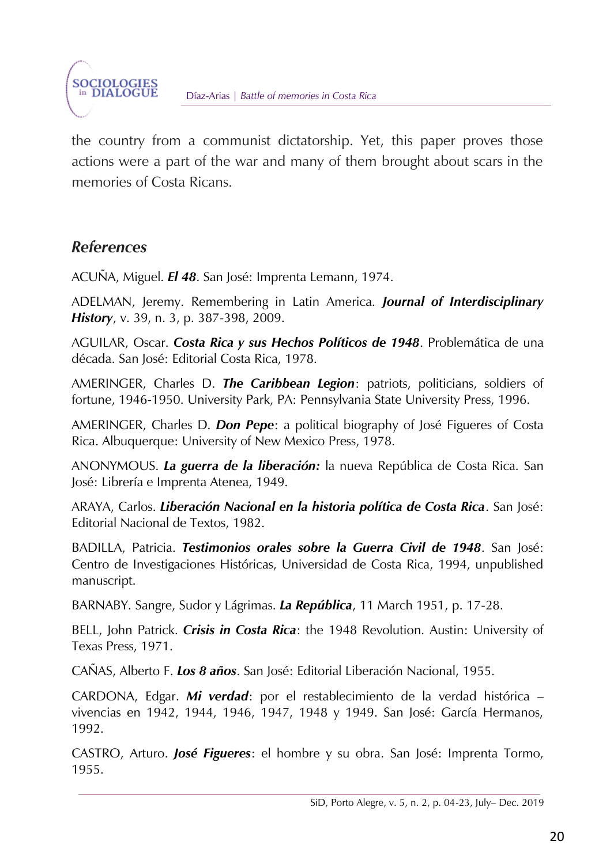the country from a communist dictatorship. Yet, this paper proves those actions were a part of the war and many of them brought about scars in the memories of Costa Ricans.

### *References*

**SOCIOLOGIES** in DIALOGUE

ACUÑA, Miguel. *El 48*. San José: Imprenta Lemann, 1974.

ADELMAN, Jeremy. Remembering in Latin America. *Journal of Interdisciplinary History*, v. 39, n. 3, p. 387-398, 2009.

AGUILAR, Oscar. *Costa Rica y sus Hechos Políticos de 1948*. Problemática de una década. San José: Editorial Costa Rica, 1978.

AMERINGER, Charles D. *The Caribbean Legion*: patriots, politicians, soldiers of fortune, 1946-1950. University Park, PA: Pennsylvania State University Press, 1996.

AMERINGER, Charles D. *Don Pepe*: a political biography of José Figueres of Costa Rica. Albuquerque: University of New Mexico Press, 1978.

ANONYMOUS. *La guerra de la liberación:* la nueva República de Costa Rica. San José: Librería e Imprenta Atenea, 1949.

ARAYA, Carlos. *Liberación Nacional en la historia política de Costa Rica*. San José: Editorial Nacional de Textos, 1982.

BADILLA, Patricia. *Testimonios orales sobre la Guerra Civil de 1948*. San José: Centro de Investigaciones Históricas, Universidad de Costa Rica, 1994, unpublished manuscript.

BARNABY. Sangre, Sudor y Lágrimas. *La República*, 11 March 1951, p. 17-28.

BELL, John Patrick. *Crisis in Costa Rica*: the 1948 Revolution. Austin: University of Texas Press, 1971.

CAÑAS, Alberto F. *Los 8 años*. San José: Editorial Liberación Nacional, 1955.

CARDONA, Edgar. *Mi verdad*: por el restablecimiento de la verdad histórica – vivencias en 1942, 1944, 1946, 1947, 1948 y 1949. San José: García Hermanos, 1992.

CASTRO, Arturo. *José Figueres*: el hombre y su obra. San José: Imprenta Tormo, 1955.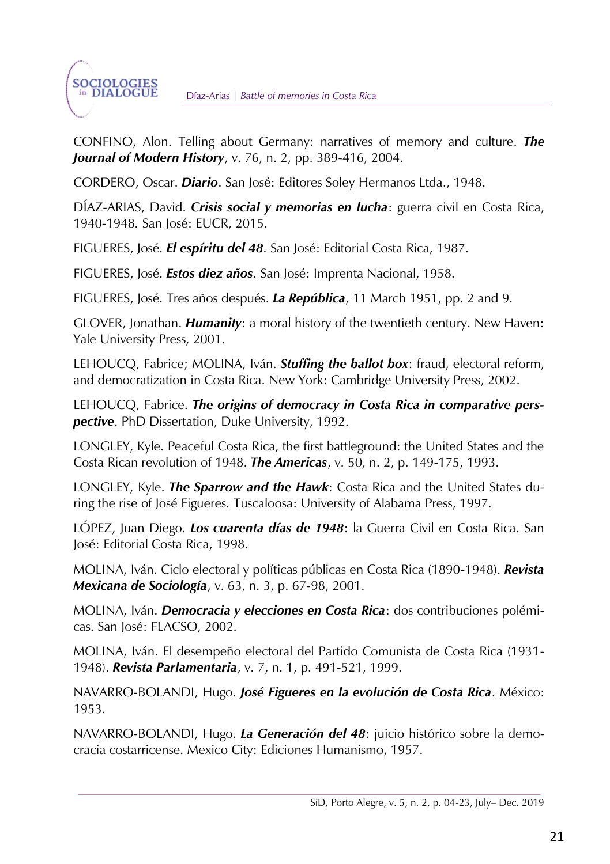CONFINO, Alon. Telling about Germany: narratives of memory and culture. *The Journal of Modern History*, v. 76, n. 2, pp. 389-416, 2004.

CORDERO, Oscar. *Diario*. San José: Editores Soley Hermanos Ltda., 1948.

DÍAZ-ARIAS, David. *Crisis social y memorias en lucha*: guerra civil en Costa Rica, 1940-1948*.* San José: EUCR, 2015.

FIGUERES, José. *El espíritu del 48*. San José: Editorial Costa Rica, 1987.

FIGUERES, José. *Estos diez años*. San José: Imprenta Nacional, 1958.

FIGUERES, José. Tres años después. *La República*, 11 March 1951, pp. 2 and 9.

GLOVER, Jonathan. *Humanity*: a moral history of the twentieth century. New Haven: Yale University Press, 2001.

LEHOUCQ, Fabrice; MOLINA, Iván. *Stuffing the ballot box*: fraud, electoral reform, and democratization in Costa Rica. New York: Cambridge University Press, 2002.

LEHOUCQ, Fabrice. *The origins of democracy in Costa Rica in comparative perspective*. PhD Dissertation, Duke University, 1992.

LONGLEY, Kyle. Peaceful Costa Rica, the first battleground: the United States and the Costa Rican revolution of 1948. *The Americas*, v. 50, n. 2, p. 149-175, 1993.

LONGLEY, Kyle. *The Sparrow and the Hawk*: Costa Rica and the United States during the rise of José Figueres. Tuscaloosa: University of Alabama Press, 1997.

LÓPEZ, Juan Diego. *Los cuarenta días de 1948*: la Guerra Civil en Costa Rica. San José: Editorial Costa Rica, 1998.

MOLINA, Iván. Ciclo electoral y políticas públicas en Costa Rica (1890-1948). *Revista Mexicana de Sociología*, v. 63, n. 3, p. 67-98, 2001.

MOLINA, Iván. *Democracia y elecciones en Costa Rica*: dos contribuciones polémicas. San José: FLACSO, 2002.

MOLINA, Iván. El desempeño electoral del Partido Comunista de Costa Rica (1931- 1948). *Revista Parlamentaria*, v. 7, n. 1, p. 491-521, 1999.

NAVARRO-BOLANDI, Hugo. *José Figueres en la evolución de Costa Rica*. México: 1953.

NAVARRO-BOLANDI, Hugo. *La Generación del 48*: juicio histórico sobre la democracia costarricense. Mexico City: Ediciones Humanismo, 1957.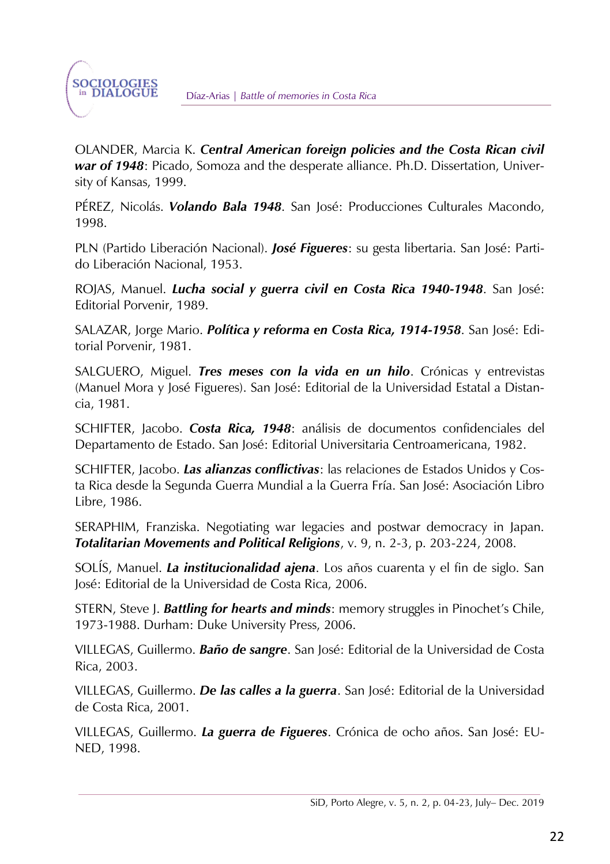OLANDER, Marcia K. *Central American foreign policies and the Costa Rican civil war of 1948*: Picado, Somoza and the desperate alliance. Ph.D. Dissertation, University of Kansas, 1999.

PÉREZ, Nicolás. *Volando Bala 1948*. San José: Producciones Culturales Macondo, 1998.

PLN (Partido Liberación Nacional). *José Figueres*: su gesta libertaria. San José: Partido Liberación Nacional, 1953.

ROJAS, Manuel. *Lucha social y guerra civil en Costa Rica 1940-1948*. San José: Editorial Porvenir, 1989.

SALAZAR, Jorge Mario. *Política y reforma en Costa Rica, 1914-1958*. San José: Editorial Porvenir, 1981.

SALGUERO, Miguel. *Tres meses con la vida en un hilo*. Crónicas y entrevistas (Manuel Mora y José Figueres). San José: Editorial de la Universidad Estatal a Distancia, 1981.

SCHIFTER, Jacobo. *Costa Rica, 1948*: análisis de documentos confidenciales del Departamento de Estado. San José: Editorial Universitaria Centroamericana, 1982.

SCHIFTER, Jacobo. *Las alianzas conflictivas*: las relaciones de Estados Unidos y Costa Rica desde la Segunda Guerra Mundial a la Guerra Fría. San José: Asociación Libro Libre, 1986.

SERAPHIM, Franziska. Negotiating war legacies and postwar democracy in Japan. *Totalitarian Movements and Political Religions*, v. 9, n. 2-3, p. 203-224, 2008.

SOLÍS, Manuel. *La institucionalidad ajena*. Los años cuarenta y el fin de siglo. San José: Editorial de la Universidad de Costa Rica, 2006.

STERN, Steve J. *Battling for hearts and minds*: memory struggles in Pinochet's Chile, 1973-1988. Durham: Duke University Press, 2006.

VILLEGAS, Guillermo. *Baño de sangre*. San José: Editorial de la Universidad de Costa Rica, 2003.

VILLEGAS, Guillermo. *De las calles a la guerra*. San José: Editorial de la Universidad de Costa Rica, 2001.

VILLEGAS, Guillermo. *La guerra de Figueres*. Crónica de ocho años. San José: EU-NED, 1998.

SiD, Porto Alegre, v. 5, n. 2, p. 04-23, July– Dec. 2019